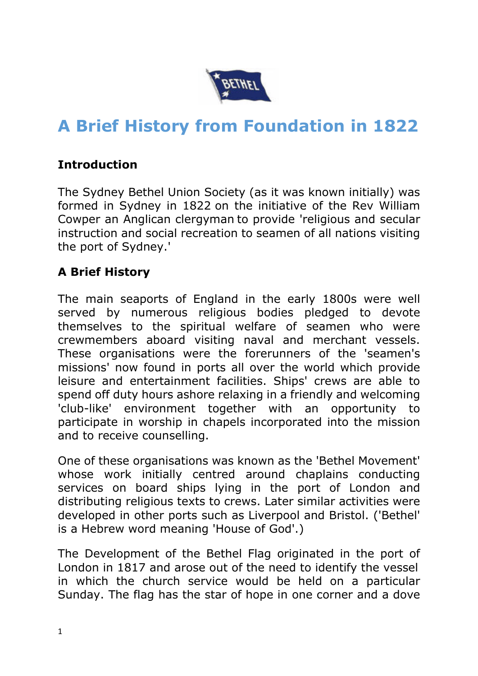

## **A Brief History from Foundation in 1822**

## **Introduction**

The Sydney Bethel Union Society (as it was known initially) was formed in Sydney in 1822 on the initiative of the Rev William Cowper an Anglican clergyman to provide 'religious and secular instruction and social recreation to seamen of all nations visiting the port of Sydney.'

## **A Brief History**

The main seaports of England in the early 1800s were well served by numerous religious bodies pledged to devote themselves to the spiritual welfare of seamen who were crewmembers aboard visiting naval and merchant vessels. These organisations were the forerunners of the 'seamen's missions' now found in ports all over the world which provide leisure and entertainment facilities. Ships' crews are able to spend off duty hours ashore relaxing in a friendly and welcoming 'club-like' environment together with an opportunity to participate in worship in chapels incorporated into the mission and to receive counselling.

One of these organisations was known as the 'Bethel Movement' whose work initially centred around chaplains conducting services on board ships lying in the port of London and distributing religious texts to crews. Later similar activities were developed in other ports such as Liverpool and Bristol. ('Bethel' is a Hebrew word meaning 'House of God'.)

The Development of the Bethel Flag originated in the port of London in 1817 and arose out of the need to identify the vessel in which the church service would be held on a particular Sunday. The flag has the star of hope in one corner and a dove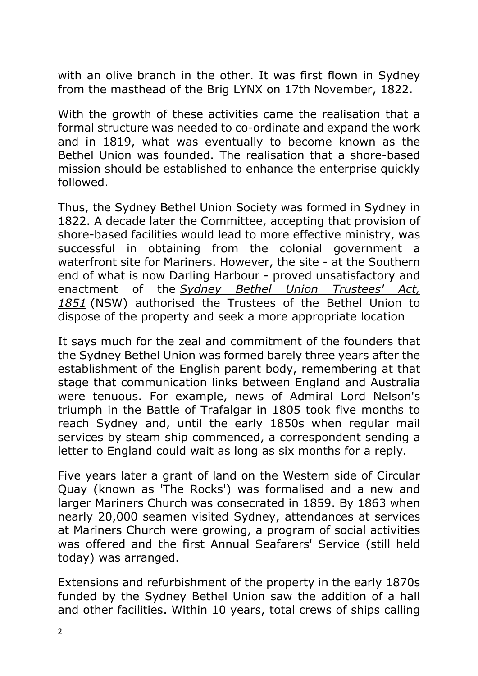with an olive branch in the other. It was first flown in Sydney from the masthead of the Brig LYNX on 17th November, 1822.

With the growth of these activities came the realisation that a formal structure was needed to co-ordinate and expand the work and in 1819, what was eventually to become known as the Bethel Union was founded. The realisation that a shore-based mission should be established to enhance the enterprise quickly followed.

Thus, the Sydney Bethel Union Society was formed in Sydney in 1822. A decade later the Committee, accepting that provision of shore-based facilities would lead to more effective ministry, was successful in obtaining from the colonial government a waterfront site for Mariners. However, the site - at the Southern end of what is now Darling Harbour - proved unsatisfactory and enactment of the *Sydney Bethel Union Trustees' Act, 1851* (NSW) authorised the Trustees of the Bethel Union to dispose of the property and seek a more appropriate location

It says much for the zeal and commitment of the founders that the Sydney Bethel Union was formed barely three years after the establishment of the English parent body, remembering at that stage that communication links between England and Australia were tenuous. For example, news of Admiral Lord Nelson's triumph in the Battle of Trafalgar in 1805 took five months to reach Sydney and, until the early 1850s when regular mail services by steam ship commenced, a correspondent sending a letter to England could wait as long as six months for a reply.

Five years later a grant of land on the Western side of Circular Quay (known as 'The Rocks') was formalised and a new and larger Mariners Church was consecrated in 1859. By 1863 when nearly 20,000 seamen visited Sydney, attendances at services at Mariners Church were growing, a program of social activities was offered and the first Annual Seafarers' Service (still held today) was arranged.

Extensions and refurbishment of the property in the early 1870s funded by the Sydney Bethel Union saw the addition of a hall and other facilities. Within 10 years, total crews of ships calling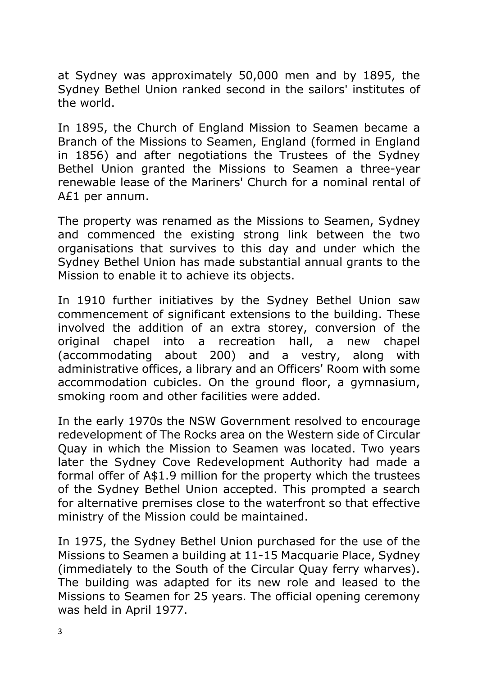at Sydney was approximately 50,000 men and by 1895, the Sydney Bethel Union ranked second in the sailors' institutes of the world.

In 1895, the Church of England Mission to Seamen became a Branch of the Missions to Seamen, England (formed in England in 1856) and after negotiations the Trustees of the Sydney Bethel Union granted the Missions to Seamen a three-year renewable lease of the Mariners' Church for a nominal rental of A£1 per annum.

The property was renamed as the Missions to Seamen, Sydney and commenced the existing strong link between the two organisations that survives to this day and under which the Sydney Bethel Union has made substantial annual grants to the Mission to enable it to achieve its objects.

In 1910 further initiatives by the Sydney Bethel Union saw commencement of significant extensions to the building. These involved the addition of an extra storey, conversion of the original chapel into a recreation hall, a new chapel (accommodating about 200) and a vestry, along with administrative offices, a library and an Officers' Room with some accommodation cubicles. On the ground floor, a gymnasium, smoking room and other facilities were added.

In the early 1970s the NSW Government resolved to encourage redevelopment of The Rocks area on the Western side of Circular Quay in which the Mission to Seamen was located. Two years later the Sydney Cove Redevelopment Authority had made a formal offer of A\$1.9 million for the property which the trustees of the Sydney Bethel Union accepted. This prompted a search for alternative premises close to the waterfront so that effective ministry of the Mission could be maintained.

In 1975, the Sydney Bethel Union purchased for the use of the Missions to Seamen a building at 11-15 Macquarie Place, Sydney (immediately to the South of the Circular Quay ferry wharves). The building was adapted for its new role and leased to the Missions to Seamen for 25 years. The official opening ceremony was held in April 1977.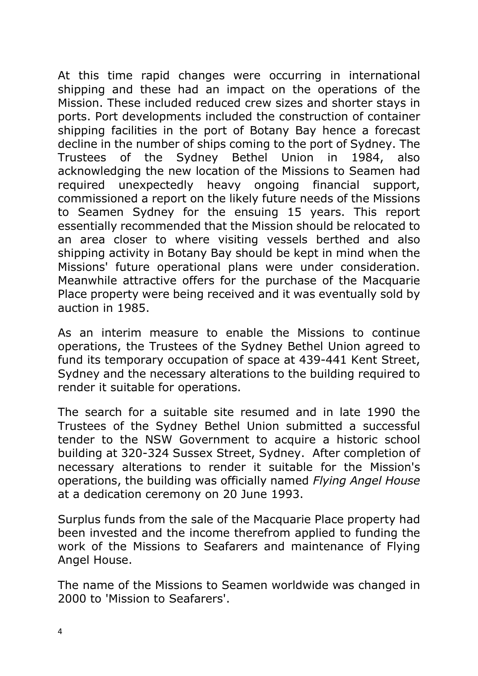At this time rapid changes were occurring in international shipping and these had an impact on the operations of the Mission. These included reduced crew sizes and shorter stays in ports. Port developments included the construction of container shipping facilities in the port of Botany Bay hence a forecast decline in the number of ships coming to the port of Sydney. The Trustees of the Sydney Bethel Union in 1984, also acknowledging the new location of the Missions to Seamen had required unexpectedly heavy ongoing financial support, commissioned a report on the likely future needs of the Missions to Seamen Sydney for the ensuing 15 years. This report essentially recommended that the Mission should be relocated to an area closer to where visiting vessels berthed and also shipping activity in Botany Bay should be kept in mind when the Missions' future operational plans were under consideration. Meanwhile attractive offers for the purchase of the Macquarie Place property were being received and it was eventually sold by auction in 1985.

As an interim measure to enable the Missions to continue operations, the Trustees of the Sydney Bethel Union agreed to fund its temporary occupation of space at 439-441 Kent Street, Sydney and the necessary alterations to the building required to render it suitable for operations.

The search for a suitable site resumed and in late 1990 the Trustees of the Sydney Bethel Union submitted a successful tender to the NSW Government to acquire a historic school building at 320-324 Sussex Street, Sydney. After completion of necessary alterations to render it suitable for the Mission's operations, the building was officially named *Flying Angel House* at a dedication ceremony on 20 June 1993.

Surplus funds from the sale of the Macquarie Place property had been invested and the income therefrom applied to funding the work of the Missions to Seafarers and maintenance of Flying Angel House.

The name of the Missions to Seamen worldwide was changed in 2000 to 'Mission to Seafarers'.